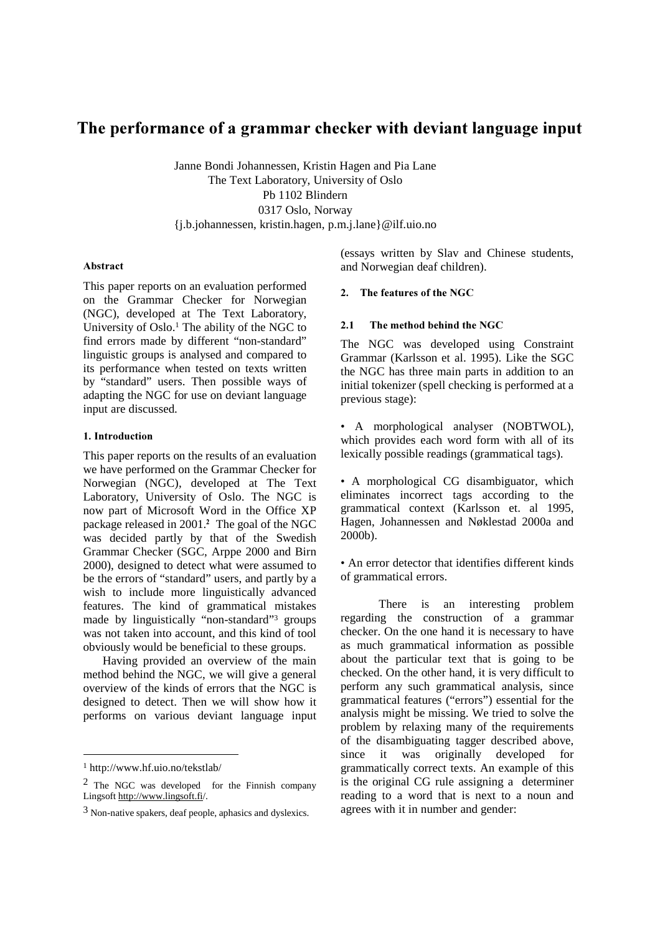# The performance of a grammar checker with deviant language input

Janne Bondi Johannessen, Kristin Hagen and Pia Lane The Text Laboratory, University of Oslo Pb 1102 Blindern 0317 Oslo, Norway {j.b.johannessen, kristin.hagen, p.m.j.lane}@ilf.uio.no

#### Abstract

This paper reports on an evaluation performed on the Grammar Checker for Norwegian (NGC), developed at The Text Laboratory, University of Oslo.1 The ability of the NGC to find errors made by different "non-standard" linguistic groups is analysed and compared to its performance when tested on texts written by "standard" users. Then possible ways of adapting the NGC for use on deviant language input are discussed.

# 1. Introduction

This paper reports on the results of an evaluation we have performed on the Grammar Checker for Norwegian (NGC), developed at The Text Laboratory, University of Oslo. The NGC is now part of Microsoft Word in the Office XP package released in 2001.<sup>2</sup> The goal of the NGC was decided partly by that of the Swedish Grammar Checker (SGC, Arppe 2000 and Birn 2000), designed to detect what were assumed to be the errors of "standard" users, and partly by a wish to include more linguistically advanced features. The kind of grammatical mistakes made by linguistically "non-standard"3 groups was not taken into account, and this kind of tool obviously would be beneficial to these groups.

Having provided an overview of the main method behind the NGC, we will give a general overview of the kinds of errors that the NGC is designed to detect. Then we will show how it performs on various deviant language input

1

(essays written by Slav and Chinese students, and Norwegian deaf children).

#### 2. The features of the NGC

#### $2.1$ e method behind the NGC

The NGC was developed using Constraint Grammar (Karlsson et al. 1995). Like the SGC the NGC has three main parts in addition to an initial tokenizer (spell checking is performed at a previous stage):

• A morphological analyser (NOBTWOL), which provides each word form with all of its lexically possible readings (grammatical tags).

• A morphological CG disambiguator, which eliminates incorrect tags according to the grammatical context (Karlsson et. al 1995, Hagen, Johannessen and Nøklestad 2000a and 2000b).

• An error detector that identifies different kinds of grammatical errors.

There is an interesting problem regarding the construction of a grammar checker. On the one hand it is necessary to have as much grammatical information as possible about the particular text that is going to be checked. On the other hand, it is very difficult to perform any such grammatical analysis, since grammatical features ("errors") essential for the analysis might be missing. We tried to solve the problem by relaxing many of the requirements of the disambiguating tagger described above, since it was originally developed for grammatically correct texts. An example of this is the original CG rule assigning a determiner reading to a word that is next to a noun and agrees with it in number and gender:

<sup>1</sup> http://www.hf.uio.no/tekstlab/

<sup>2</sup> The NGC was developed for the Finnish company Lingsoft http://www.lingsoft.fi/.

<sup>3</sup> Non-native spakers, deaf people, aphasics and dyslexics.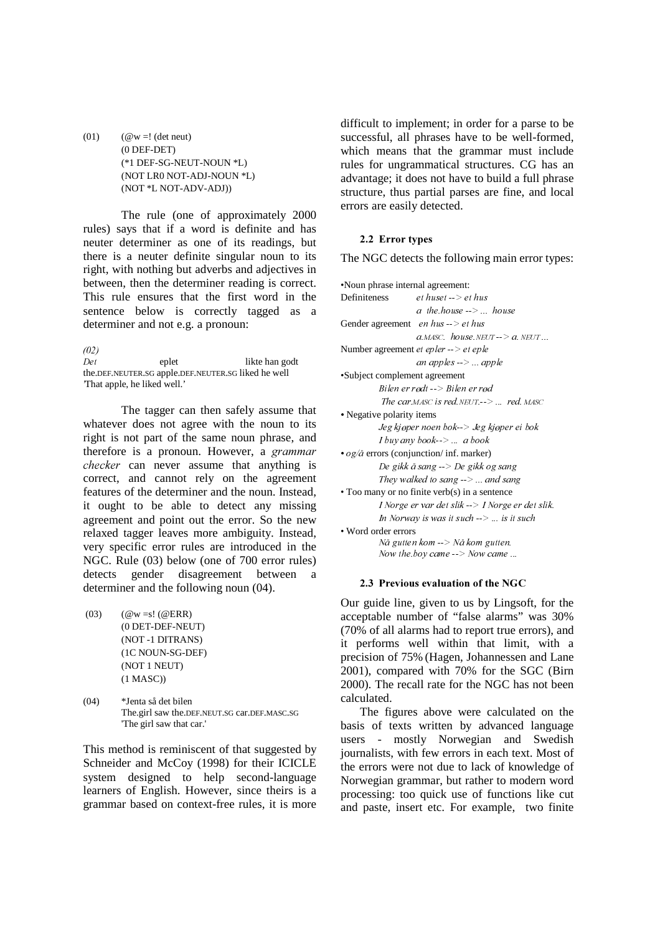(01)  $(\mathcal{Q}_w =!$  (det neut) (0 DEF-DET) (\*1 DEF-SG-NEUT-NOUN \*L) (NOT LR0 NOT-ADJ-NOUN \*L) (NOT \*L NOT-ADV-ADJ))

The rule (one of approximately 2000 rules) says that if a word is definite and has neuter determiner as one of its readings, but there is a neuter definite singular noun to its right, with nothing but adverbs and adjectives in between, then the determiner reading is correct. This rule ensures that the first word in the sentence below is correctly tagged as a determiner and not e.g. a pronoun:

 $(02)$ eplet likte han godt the.DEF.NEUTER.SG apple.DEF.NEUTER.SG liked he well 'That apple, he liked well.'

The tagger can then safely assume that whatever does not agree with the noun to its right is not part of the same noun phrase, and therefore is a pronoun. However, a grammar checker can never assume that anything is correct, and cannot rely on the agreement features of the determiner and the noun. Instead, it ought to be able to detect any missing agreement and point out the error. So the new relaxed tagger leaves more ambiguity. Instead, very specific error rules are introduced in the NGC. Rule (03) below (one of 700 error rules) detects gender disagreement between a determiner and the following noun (04).

- (03)  $(\omega w = s! (\omega ERR)$ (0 DET-DEF-NEUT) (NOT -1 DITRANS) (1C NOUN-SG-DEF) (NOT 1 NEUT) (1 MASC))
- (04) \*Jenta så det bilen The.girl saw the.DEF.NEUT.SG car.DEF.MASC.SG 'The girl saw that car.'

This method is reminiscent of that suggested by Schneider and McCoy (1998) for their ICICLE system designed to help second-language learners of English. However, since theirs is a grammar based on context-free rules, it is more

difficult to implement; in order for a parse to be successful, all phrases have to be well-formed, which means that the grammar must include rules for ungrammatical structures. CG has an advantage; it does not have to build a full phrase structure, thus partial parses are fine, and local errors are easily detected.

# 2.2 Error types

The NGC detects the following main error types:

| •Noun phrase internal agreement:                           |                                                         |  |  |  |
|------------------------------------------------------------|---------------------------------------------------------|--|--|--|
| Definiteness                                               | et huset $\rightarrow$ et hus                           |  |  |  |
|                                                            | $a$ the house $\rightarrow \dots$ house                 |  |  |  |
| Gender agreement <i>en hus</i> $\rightarrow$ <i>et hus</i> |                                                         |  |  |  |
|                                                            | $a.MASC.$ house. NEUT $\rightarrow a$ . NEUT            |  |  |  |
| Number agreement et epler $\rightarrow$ et eple            |                                                         |  |  |  |
|                                                            | an apples -->  apple                                    |  |  |  |
| •Subject complement agreement                              |                                                         |  |  |  |
| Bilen er rødt --> Bilen er rød                             |                                                         |  |  |  |
|                                                            | The car <i>MASC</i> is red NEUT $\rightarrow$ red. MASC |  |  |  |
| • Negative polarity items                                  |                                                         |  |  |  |
| Jeg kjøper noen bok--> Jeg kjøper ei bok                   |                                                         |  |  |  |
| <i>I buy any book--&gt;  a book</i>                        |                                                         |  |  |  |
| • $og/a$ errors (conjunction/ inf. marker)                 |                                                         |  |  |  |
| De gikk å sang --> De gikk og sang                         |                                                         |  |  |  |
| They walked to sang $\rightarrow \dots$ and sang           |                                                         |  |  |  |
| • Too many or no finite verb(s) in a sentence              |                                                         |  |  |  |
|                                                            | I Norge er var det slik --> I Norge er det slik.        |  |  |  |
|                                                            | In Norway is was it such $\rightarrow$ is it such       |  |  |  |
| • Word order errors                                        |                                                         |  |  |  |
|                                                            | Nå gutten kom --> Nå kom gutten.                        |  |  |  |
|                                                            | Now the boy came $\rightarrow$ Now came                 |  |  |  |
|                                                            |                                                         |  |  |  |

#### 2.3 Previous evaluation of the NGC

Our guide line, given to us by Lingsoft, for the acceptable number of "false alarms" was 30% (70% of all alarms had to report true errors), and it performs well within that limit, with a precision of 75% (Hagen, Johannessen and Lane 2001), compared with 70% for the SGC (Birn 2000). The recall rate for the NGC has not been calculated.

The figures above were calculated on the basis of texts written by advanced language users - mostly Norwegian and Swedish journalists, with few errors in each text. Most of the errors were not due to lack of knowledge of Norwegian grammar, but rather to modern word processing: too quick use of functions like cut and paste, insert etc. For example, two finite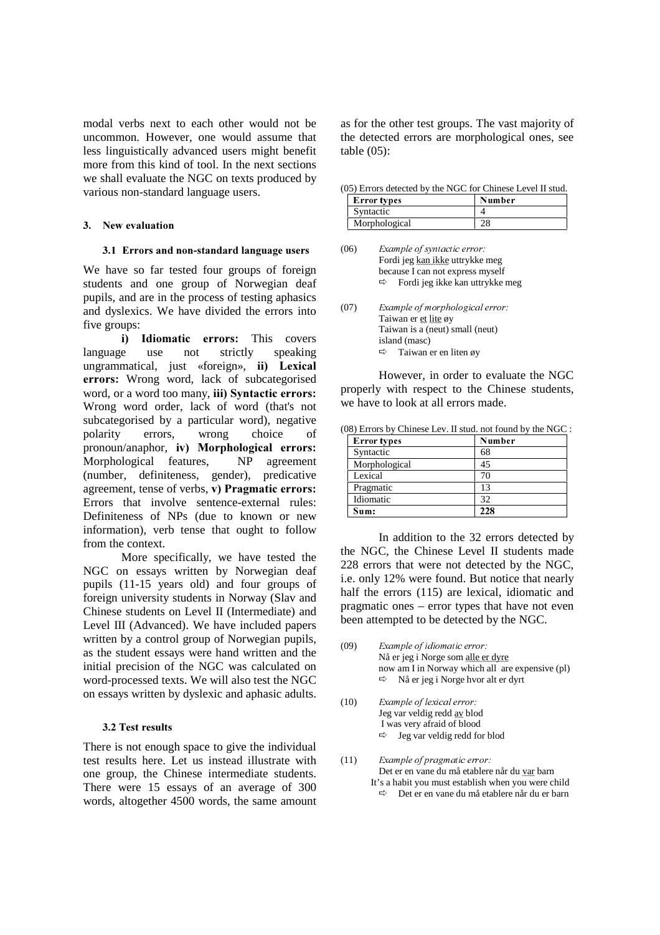modal verbs next to each other would not be uncommon. However, one would assume that less linguistically advanced users might benefit more from this kind of tool. In the next sections we shall evaluate the NGC on texts produced by various non-standard language users.

# 3. New evaluation

## 3.1 Errors and non-standard language users

We have so far tested four groups of foreign students and one group of Norwegian deaf pupils, and are in the process of testing aphasics and dyslexics. We have divided the errors into five groups:

i) Idiomatic errors: This covers language use not strictly speaking ungrammatical, just «foreign», ii) Lexical errors: Wrong word, lack of subcategorised word, or a word too many, iii) Syntactic errors: Wrong word order, lack of word (that's not subcategorised by a particular word), negative polarity errors, wrong choice of pronoun/anaphor, iv) Morphological errors: Morphological features, NP agreement (number, definiteness, gender), predicative agreement, tense of verbs,  $v$ ) Pragmatic errors: Errors that involve sentence-external rules: Definiteness of NPs (due to known or new information), verb tense that ought to follow from the context.

 More specifically, we have tested the NGC on essays written by Norwegian deaf pupils (11-15 years old) and four groups of foreign university students in Norway (Slav and Chinese students on Level II (Intermediate) and Level III (Advanced). We have included papers written by a control group of Norwegian pupils, as the student essays were hand written and the initial precision of the NGC was calculated on word-processed texts. We will also test the NGC on essays written by dyslexic and aphasic adults.

# 3.2 Test results

There is not enough space to give the individual test results here. Let us instead illustrate with one group, the Chinese intermediate students. There were 15 essays of an average of 300 words, altogether 4500 words, the same amount

as for the other test groups. The vast majority of the detected errors are morphological ones, see table (05):

(05) Errors detected by the NGC for Chinese Level II stud.

| Error types   | Number |
|---------------|--------|
| Syntactic     |        |
| Morphological |        |

- $(06)$  Example of syntactic error: Fordi jeg kan ikke uttrykke meg because I can not express myself -Fordi jeg ikke kan uttrykke meg
- $(07)$  Example of morphological error: Taiwan er et lite øy Taiwan is a (neut) small (neut) island (masc)  $\Rightarrow$  Taiwan er en liten øy

However, in order to evaluate the NGC properly with respect to the Chinese students, we have to look at all errors made.

(08) Errors by Chinese Lev. II stud. not found by the NGC :

| <b>Error</b> types | Number |
|--------------------|--------|
| Syntactic          | 68     |
| Morphological      | 45     |
| Lexical            | 70     |
| Pragmatic          | 13     |
| Idiomatic          | 32     |
| Sum:               | 228    |

In addition to the 32 errors detected by the NGC, the Chinese Level II students made 228 errors that were not detected by the NGC, i.e. only 12% were found. But notice that nearly half the errors (115) are lexical, idiomatic and pragmatic ones – error types that have not even been attempted to be detected by the NGC.

- $(09)$  Example of idiomatic error: Nå er jeg i Norge som alle er dyre now am I in Norway which all are expensive (pl)  $\Rightarrow$  Nå er jeg i Norge hvor alt er dyrt
- $(10)$  Example of lexical error: Jeg var veldig redd av blod I was very afraid of blood  $\Rightarrow$  Jeg var veldig redd for blod
- $(11)$  Example of pragmatic error: Det er en vane du må etablere når du var barn It's a habit you must establish when you were child -Det er en vane du må etablere når du er barn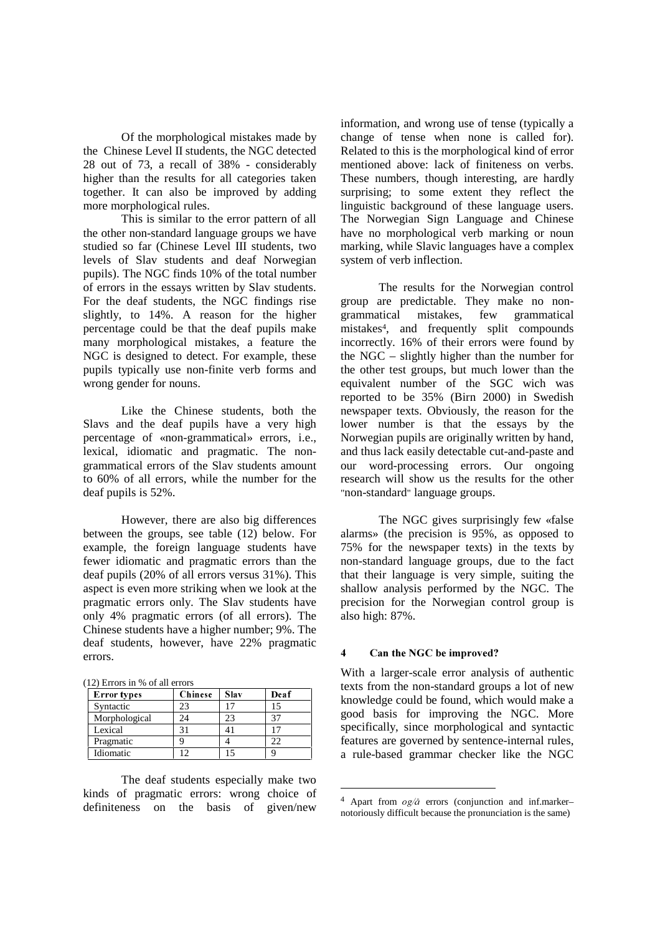Of the morphological mistakes made by the Chinese Level II students, the NGC detected 28 out of 73, a recall of 38% - considerably higher than the results for all categories taken together. It can also be improved by adding more morphological rules.

This is similar to the error pattern of all the other non-standard language groups we have studied so far (Chinese Level III students, two levels of Slav students and deaf Norwegian pupils). The NGC finds 10% of the total number of errors in the essays written by Slav students. For the deaf students, the NGC findings rise slightly, to 14%. A reason for the higher percentage could be that the deaf pupils make many morphological mistakes, a feature the NGC is designed to detect. For example, these pupils typically use non-finite verb forms and wrong gender for nouns.

Like the Chinese students, both the Slavs and the deaf pupils have a very high percentage of «non-grammatical» errors, i.e., lexical, idiomatic and pragmatic. The nongrammatical errors of the Slav students amount to 60% of all errors, while the number for the deaf pupils is 52%.

However, there are also big differences between the groups, see table (12) below. For example, the foreign language students have fewer idiomatic and pragmatic errors than the deaf pupils (20% of all errors versus 31%). This aspect is even more striking when we look at the pragmatic errors only. The Slav students have only 4% pragmatic errors (of all errors). The Chinese students have a higher number; 9%. The deaf students, however, have 22% pragmatic errors.

| (12) Errors in % of all errors |  |
|--------------------------------|--|
|--------------------------------|--|

| <b>Error</b> types | <b>Chinese</b> | Slav | Deaf |
|--------------------|----------------|------|------|
| Syntactic          | 23             | 17   | 15   |
| Morphological      | 24             | 23   | 37   |
| Lexical            | 31             |      | 17   |
| Pragmatic          |                |      | 22   |
| Idiomatic          |                |      |      |

The deaf students especially make two kinds of pragmatic errors: wrong choice of definiteness on the basis of given/new

information, and wrong use of tense (typically a change of tense when none is called for). Related to this is the morphological kind of error mentioned above: lack of finiteness on verbs. These numbers, though interesting, are hardly surprising; to some extent they reflect the linguistic background of these language users. The Norwegian Sign Language and Chinese have no morphological verb marking or noun marking, while Slavic languages have a complex system of verb inflection.

The results for the Norwegian control group are predictable. They make no nongrammatical mistakes, few grammatical mistakes4, and frequently split compounds incorrectly. 16% of their errors were found by the NGC – slightly higher than the number for the other test groups, but much lower than the equivalent number of the SGC wich was reported to be 35% (Birn 2000) in Swedish newspaper texts. Obviously, the reason for the lower number is that the essays by the Norwegian pupils are originally written by hand, and thus lack easily detectable cut-and-paste and our word-processing errors. Our ongoing research will show us the results for the other "non-standard" language groups.

The NGC gives surprisingly few «false alarms» (the precision is 95%, as opposed to 75% for the newspaper texts) in the texts by non-standard language groups, due to the fact that their language is very simple, suiting the shallow analysis performed by the NGC. The precision for the Norwegian control group is also high: 87%.

#### 4 Can the NGC be improved?

<u>.</u>

With a larger-scale error analysis of authentic texts from the non-standard groups a lot of new knowledge could be found, which would make a good basis for improving the NGC. More specifically, since morphological and syntactic features are governed by sentence-internal rules, a rule-based grammar checker like the NGC

<sup>&</sup>lt;sup>4</sup> Apart from  $og/\mathring{a}$  errors (conjunction and inf.marker– notoriously difficult because the pronunciation is the same)